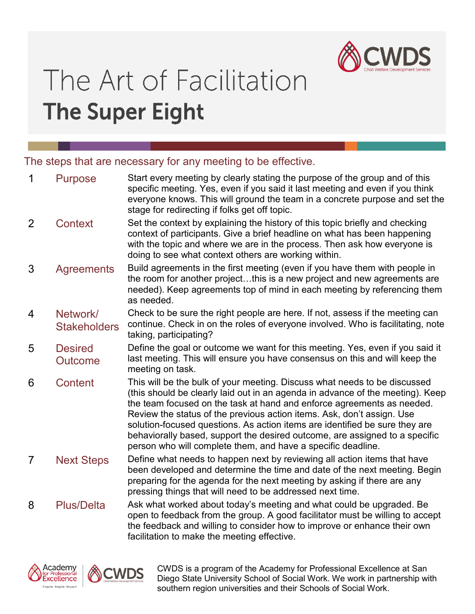

# The Art of Facilitation **The Super Eight**

The steps that are necessary for any meeting to be effective.

| $\mathbf 1$    | <b>Purpose</b>                   | Start every meeting by clearly stating the purpose of the group and of this<br>specific meeting. Yes, even if you said it last meeting and even if you think<br>everyone knows. This will ground the team in a concrete purpose and set the<br>stage for redirecting if folks get off topic.                                                                                                                                                                                                                                                  |  |
|----------------|----------------------------------|-----------------------------------------------------------------------------------------------------------------------------------------------------------------------------------------------------------------------------------------------------------------------------------------------------------------------------------------------------------------------------------------------------------------------------------------------------------------------------------------------------------------------------------------------|--|
| $\overline{2}$ | <b>Context</b>                   | Set the context by explaining the history of this topic briefly and checking<br>context of participants. Give a brief headline on what has been happening<br>with the topic and where we are in the process. Then ask how everyone is<br>doing to see what context others are working within.                                                                                                                                                                                                                                                 |  |
| 3              | <b>Agreements</b>                | Build agreements in the first meeting (even if you have them with people in<br>the room for another projectthis is a new project and new agreements are<br>needed). Keep agreements top of mind in each meeting by referencing them<br>as needed.                                                                                                                                                                                                                                                                                             |  |
| 4              | Network/<br><b>Stakeholders</b>  | Check to be sure the right people are here. If not, assess if the meeting can<br>continue. Check in on the roles of everyone involved. Who is facilitating, note<br>taking, participating?                                                                                                                                                                                                                                                                                                                                                    |  |
| 5              | <b>Desired</b><br><b>Outcome</b> | Define the goal or outcome we want for this meeting. Yes, even if you said it<br>last meeting. This will ensure you have consensus on this and will keep the<br>meeting on task.                                                                                                                                                                                                                                                                                                                                                              |  |
| 6              | Content                          | This will be the bulk of your meeting. Discuss what needs to be discussed<br>(this should be clearly laid out in an agenda in advance of the meeting). Keep<br>the team focused on the task at hand and enforce agreements as needed.<br>Review the status of the previous action items. Ask, don't assign. Use<br>solution-focused questions. As action items are identified be sure they are<br>behaviorally based, support the desired outcome, are assigned to a specific<br>person who will complete them, and have a specific deadline. |  |
| $\overline{7}$ | <b>Next Steps</b>                | Define what needs to happen next by reviewing all action items that have<br>been developed and determine the time and date of the next meeting. Begin<br>preparing for the agenda for the next meeting by asking if there are any<br>pressing things that will need to be addressed next time.                                                                                                                                                                                                                                                |  |
| 8              | <b>Plus/Delta</b>                | Ask what worked about today's meeting and what could be upgraded. Be<br>open to feedback from the group. A good facilitator must be willing to accept                                                                                                                                                                                                                                                                                                                                                                                         |  |





CWDS is a program of the Academy for Professional Excellence at San Diego State University School of Social Work. We work in partnership with southern region universities and their Schools of Social Work.